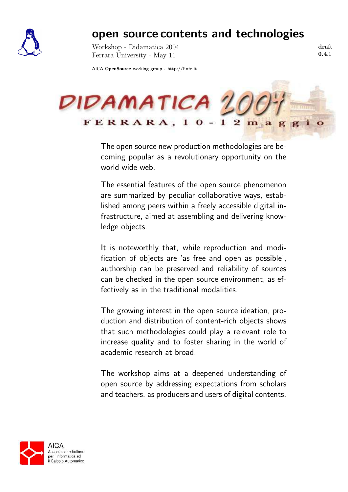

## open source contents and technologies

Workshop - Didamatica 2004 Ferrara University - May 11

draft 0.4.1

AICA OpenSource working group - http://linfe.it



The open source new production methodologies are becoming popular as a revolutionary opportunity on the world wide web.

The essential features of the open source phenomenon are summarized by peculiar collaborative ways, established among peers within a freely accessible digital infrastructure, aimed at assembling and delivering knowledge objects.

It is noteworthly that, while reproduction and modification of objects are 'as free and open as possible', authorship can be preserved and reliability of sources can be checked in the open source environment, as effectively as in the traditional modalities.

The growing interest in the open source ideation, production and distribution of content-rich objects shows that such methodologies could play a relevant role to increase quality and to foster sharing in the world of academic research at broad.

The workshop aims at a deepened understanding of open source by addressing expectations from scholars and teachers, as producers and users of digital contents.

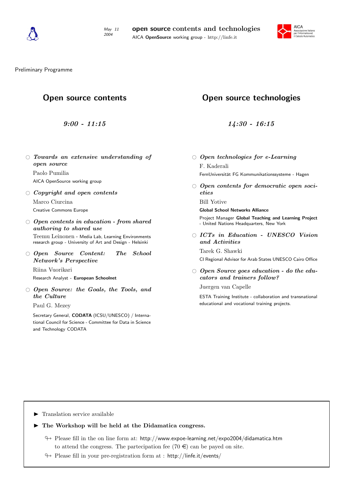



Preliminary Programme

## Open source contents

9:00 - 11:15

 $\circ$  Towards an extensive understanding of open source

Paolo Pumilia AICA OpenSource working group

 $\circ$  Copyright and open contents

Marco Ciurcina Creative Commons Europe

 $\circ$  Open contents in education - from shared authoring to shared use

Teemu Leinonen - Media Lab, Learning Environments research group - University of Art and Design - Helsinki

 $\bigcirc$  Open Source Content: The School Network's Perspective

Riina Vuorikari Research Analyst - European Schoolnet

 $\circ$  Open Source: the Goals, the Tools, and the Culture

Paul G. Mezey

Secretary General, CODATA (ICSU/UNESCO) / International Council for Science - Committee for Data in Science and Technology CODATA

## Open source technologies

14:30 - 16:15

 $\circ$  Open technologies for e-Learning

F. Kaderali FernUniversität FG Kommunikationssysteme - Hagen

 $\circ$  Open contents for democratic open societies

Bill Yotive

Global School Networks Alliance

Project Manager Global Teaching and Learning Project - United Nations Headquarters, New York

 $\bigcirc$  ICTs in Education - UNESCO Vision and Activities

Tarek G. Shawki

CI Regional Advisor for Arab States UNESCO Cairo Office

 $\circ$  Open Source goes education - do the educators and trainers follow?

Juergen van Capelle

ESTA Training Institute - collaboration and transnational educational and vocational training projects.

 $\blacktriangleright$  Translation service available

 $\blacktriangleright$  The Workshop will be held at the Didamatica congress.

- $\leftrightarrow$  Please fill in the on line form at: http://www.expoe-learning.net/expo2004/didamatica.htm to attend the congress. The partecipation fee  $(70 \in \mathcal{E})$  can be payed on site.
- $\rightarrow$  Please fill in your pre-registration form at : http://linfe.it/events/